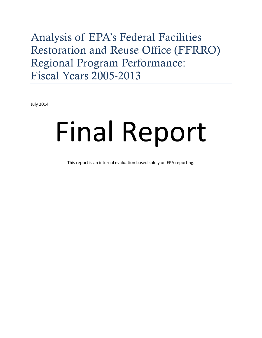# Analysis of EPA's Federal Facilities Restoration and Reuse Office (FFRRO) Regional Program Performance: Fiscal Years 2005-2013

July 2014

# Final Report

This report is an internal evaluation based solely on EPA reporting.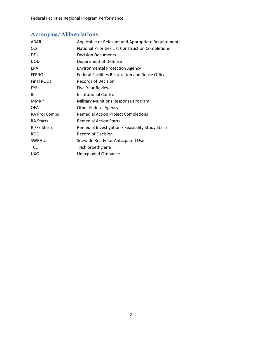# Acronyms/Abbreviations

| Applicable or Relevant and Appropriate Requirements |
|-----------------------------------------------------|
| National Priorities List Construction Completions   |
| <b>Decision Documents</b>                           |
| Department of Defense                               |
| <b>Environmental Protection Agency</b>              |
| Federal Facilities Restoration and Reuse Office     |
| <b>Records of Decision</b>                          |
| <b>Five-Year Reviews</b>                            |
| <b>Institutional Control</b>                        |
| <b>Military Munitions Response Program</b>          |
| <b>Other Federal Agency</b>                         |
| <b>Remedial Action Project Completions</b>          |
| <b>Remedial Action Starts</b>                       |
| Remedial Investigation / Feasibility Study Starts   |
| Record of Decision                                  |
| Sitewide Ready for Anticipated Use                  |
| Trichloroethylene                                   |
| <b>Unexploded Ordnance</b>                          |
|                                                     |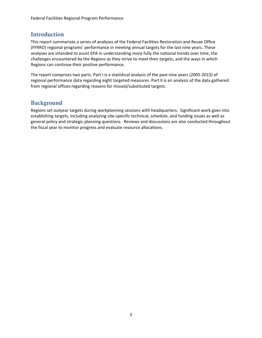# Introduction

This report summarizes a series of analyses of the Federal Facilities Restoration and Reuse Office (FFRRO) regional programs' performance in meeting annual targets for the last nine years. These analyses are intended to assist EPA in understanding more fully the national trends over time, the challenges encountered by the Regions as they strive to meet their targets, and the ways in which Regions can continue their positive performance.

The report comprises two parts. Part I is a statistical analysis of the past nine years (2005‐2013) of regional performance data regarding eight targeted measures. Part II is an analysis of the data gathered from regional offices regarding reasons for missed/substituted targets.

# Background

Regions set outyear targets during workplanning sessions with headquarters. Significant work goes into establishing targets, including analyzing site-specific technical, schedule, and funding issues as well as general policy and strategic planning questions. Reviews and discussions are also conducted throughout the fiscal year to monitor progress and evaluate resource allocations.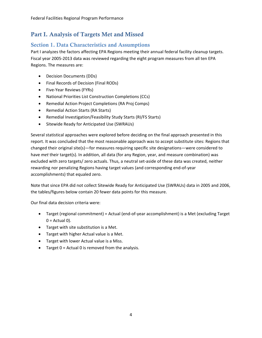# Part I. Analysis of Targets Met and Missed

# Section 1. Data Characteristics and Assumptions

Part I analyzes the factors affecting EPA Regions meeting their annual federal facility cleanup targets. Fiscal year 2005‐2013 data was reviewed regarding the eight program measures from all ten EPA Regions. The measures are:

- Decision Documents (DDs)
- Final Records of Decision (Final RODs)
- Five-Year Reviews (FYRs)
- National Priorities List Construction Completions (CCs)
- Remedial Action Project Completions (RA Proj Comps)
- Remedial Action Starts (RA Starts)
- Remedial Investigation/Feasibility Study Starts (RI/FS Starts)
- **•** Sitewide Ready for Anticipated Use (SWRAUs)

Several statistical approaches were explored before deciding on the final approach presented in this report. It was concluded that the most reasonable approach was to accept substitute sites: Regions that changed their original site(s)—for measures requiring specific site designations—were considered to have *met* their target(s). In addition, all data (for any Region, year, and measure combination) was excluded with zero targets/ zero actuals. Thus, a neutral set-aside of these data was created, neither rewarding nor penalizing Regions having target values (and corresponding end‐of‐year accomplishments) that equaled zero.

Note that since EPA did not collect Sitewide Ready for Anticipated Use (SWRAUs) data in 2005 and 2006, the tables/figures below contain 20 fewer data points for this measure.

Our final data decision criteria were:

- Target (regional commitment) = Actual (end‐of‐year accomplishment) is a Met (excluding Target  $0 =$  Actual 0).
- Target with site substitution is a Met.
- Target with higher Actual value is a Met.
- Target with lower Actual value is a Miss.
- Target 0 = Actual 0 is removed from the analysis.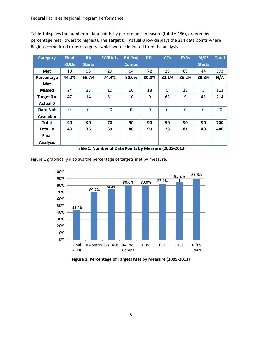Table 1 displays the number of data points by performance measure (total = 486), ordered by percentage met (lowest to highest). The **Target 0 = Actual 0** row displays the 214 data points where Regions committed to zero targets –which were eliminated from the analysis.

| <b>Category</b> | <b>Final</b> | <b>RA</b>     | <b>SWRAUS</b> | <b>RA Proj</b> | <b>DDs</b> | <b>CCs</b> | <b>FYRs</b> | <b>RI/FS</b>  | <b>Total</b> |
|-----------------|--------------|---------------|---------------|----------------|------------|------------|-------------|---------------|--------------|
|                 | <b>RODs</b>  | <b>Starts</b> |               | <b>Comps</b>   |            |            |             | <b>Starts</b> |              |
| <b>Met</b>      | 19           | 53            | 29            | 64             | 72         | 23         | 69          | 44            | 373          |
| Percentage      | 44.2%        | 69.7%         | 74.4%         | 80.0%          | 80.0%      | 82.1%      | 85.2%       | 89.8%         | N/A          |
| Met             |              |               |               |                |            |            |             |               |              |
| <b>Missed</b>   | 24           | 23            | 10            | 16             | 18         | 5          | 12          | 5             | 113          |
| Target $0 =$    | 47           | 14            | 31            | 10             | $\Omega$   | 62         | 9           | 41            | 214          |
| <b>Actual 0</b> |              |               |               |                |            |            |             |               |              |
| Data Not        | 0            | 0             | 20            | $\Omega$       | $\Omega$   | $\Omega$   | $\Omega$    | $\Omega$      | 20           |
| Available       |              |               |               |                |            |            |             |               |              |
| Total           | 90           | 90            | 70            | 90             | 90         | 90         | 90          | 90            | 700          |
| <b>Total in</b> | 43           | 76            | 39            | 80             | 90         | 28         | 81          | 49            | 486          |
| Final           |              |               |               |                |            |            |             |               |              |
| <b>Analysis</b> |              |               |               |                |            |            |             |               |              |

**Table 1. Number of Data Points by Measure (2005‐2013)**

Figure 1 graphically displays the percentage of targets met by measure.



**Figure 1. Percentage of Targets Met by Measure (2005‐2013)**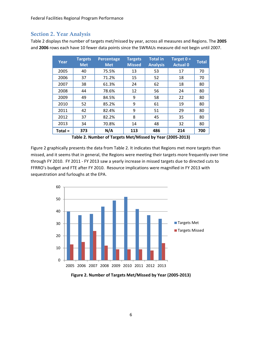#### Section 2. Year Analysis

Table 2 displays the number of targets met/missed by year, across all measures and Regions. The **2005** and **2006** rows each have 10 fewer data points since the SWRAUs measure did not begin until 2007.

| Year    | <b>Targets</b><br><b>Met</b> | Percentage<br><b>Met</b> | <b>Targets</b><br><b>Missed</b> | <b>Total in</b><br><b>Analysis</b> | Target $0 =$<br><b>Actual 0</b> | <b>Total</b> |
|---------|------------------------------|--------------------------|---------------------------------|------------------------------------|---------------------------------|--------------|
| 2005    | 40                           | 75.5%                    | 13                              | 53                                 | 17                              | 70           |
| 2006    | 37                           | 71.2%                    | 15                              | 52                                 | 18                              | 70           |
| 2007    | 38                           | 61.3%                    | 24                              | 62                                 | 18                              | 80           |
| 2008    | 44                           | 78.6%                    | 12                              | 56                                 | 24                              | 80           |
| 2009    | 49                           | 84.5%                    | 9                               | 58                                 | 22                              | 80           |
| 2010    | 52                           | 85.2%                    | 9                               | 61                                 | 19                              | 80           |
| 2011    | 42                           | 82.4%                    | 9                               | 51                                 | 29                              | 80           |
| 2012    | 37                           | 82.2%                    | 8                               | 45                                 | 35                              | 80           |
| 2013    | 34                           | 70.8%                    | 14                              | 48                                 | 32                              | 80           |
| Total = | 373                          | N/A                      | 113                             | 486                                | 214                             | 700          |

**Table 2. Number of Targets Met/Missed by Year (2005‐2013)**

Figure 2 graphically presents the data from Table 2. It indicates that Regions met more targets than missed, and it seems that in general, the Regions were meeting their targets more frequently over time through FY 2010. FY 2011 ‐ FY 2013 saw a yearly increase in missed targets due to directed cuts to FFRRO's budget and FTE after FY 2010. Resource implications were magnified in FY 2013 with sequestration and furloughs at the EPA.



**Figure 2. Number of Targets Met/Missed by Year (2005‐2013)**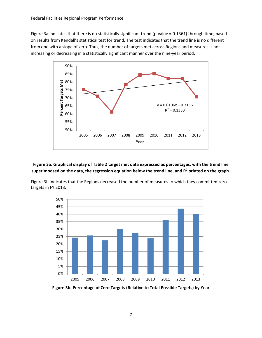Figure 3a indicates that there is no statistically significant trend (p-value = 0.1361) through time, based on results from Kendall's statistical test for trend. The test indicates that the trend line is no different from one with a slope of zero. Thus, the number of targets met across Regions and measures is not increasing or decreasing in a statistically significant manner over the nine‐year period.



**Figure 3a. Graphical display of Table 2 target met data expressed as percentages, with the trend line superimposed on the data, the regression equation below the trend line, and R2 printed on the graph.**

Figure 3b indicates that the Regions decreased the number of measures to which they committed zero targets in FY 2013.



**Figure 3b. Percentage of Zero Targets (Relative to Total Possible Targets) by Year**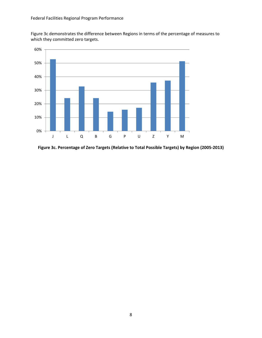Figure 3c demonstrates the difference between Regions in terms of the percentage of measures to which they committed zero targets.



**Figure 3c. Percentage of Zero Targets (Relative to Total Possible Targets) by Region (2005‐2013)**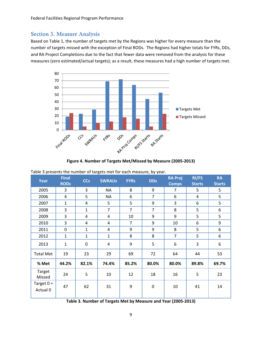#### Section 3. Measure Analysis

Based on Table 1, the number of targets met by the Regions was higher for every measure than the number of targets missed with the exception of Final RODs. The Regions had higher totals for FYRs, DDs, and RA Project Completions due to the fact that fewer data were removed from the analysis for these measures (zero estimated/actual targets); as a result, these measures had a high number of targets met.



**Figure 4. Number of Targets Met/Missed by Measure (2005‐2013)**

| Year                     | <b>Final</b><br><b>RODs</b> | <b>CCs</b>   | <b>SWRAUS</b>  | <b>FYRs</b>    | <b>DDs</b>       | <b>RA Proj</b><br><b>Comps</b> | RI/FS<br><b>Starts</b> | <b>RA</b><br><b>Starts</b> |
|--------------------------|-----------------------------|--------------|----------------|----------------|------------------|--------------------------------|------------------------|----------------------------|
| 2005                     | 3                           | 3            | <b>NA</b>      | 8              | 9                | 7                              | 5                      | 5                          |
| 2006                     | 4                           | 5            | ΝA             | 6              | $\overline{7}$   | 6                              | 4                      | 5                          |
| 2007                     | $\mathbf{1}$                | 4            | 5              | 5              | 9                | 3                              | 6                      | 5                          |
| 2008                     | 3                           | $\mathbf{1}$ | $\overline{7}$ | $\overline{7}$ | $\overline{7}$   | 8                              | 5                      | 6                          |
| 2009                     | 3                           | 4            | 4              | 10             | 9                | 9                              | 5                      | 5                          |
| 2010                     | 3                           | 4            | 4              | $\overline{7}$ | 9                | 10                             | 6                      | 9                          |
| 2011                     | 0                           | $\mathbf{1}$ | 4              | 9              | 9                | 8                              | 5                      | 6                          |
| 2012                     | $\mathbf{1}$                | $\mathbf{1}$ | $\mathbf{1}$   | 8              | 8                | $\overline{7}$                 | 5                      | 6                          |
| 2013                     | $\mathbf{1}$                | $\mathbf 0$  | 4              | 9              | 5                | 6                              | 3                      | 6                          |
| <b>Total Met</b>         | 19                          | 23           | 29             | 69             | 72               | 64                             | 44                     | 53                         |
| % Met                    | 44.2%                       | 82.1%        | 74.4%          | 85.2%          | 80.0%            | 80.0%                          | 89.8%                  | 69.7%                      |
| Target<br>Missed         | 24                          | 5            | 10             | 12             | 18               | 16                             | 5                      | 23                         |
| Target $0 =$<br>Actual 0 | 47                          | 62           | 31             | 9              | $\boldsymbol{0}$ | 10                             | 41                     | 14                         |

Table 3 presents the number of targets met for each measure, by year.

**Table 3. Number of Targets Met by Measure and Year (2005‐2013)**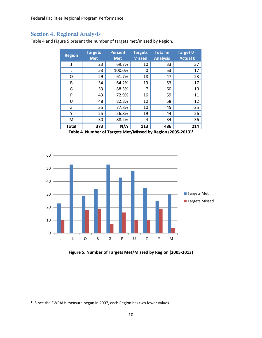# Section 4. Regional Analysis

Table 4 and Figure 5 present the number of targets met/missed by Region.

| <b>Region</b> | <b>Targets</b><br><b>Met</b> | <b>Percent</b><br><b>Met</b> | <b>Targets</b><br><b>Missed</b> | <b>Total in</b><br><b>Analysis</b> | Target $0 =$<br><b>Actual 0</b> |
|---------------|------------------------------|------------------------------|---------------------------------|------------------------------------|---------------------------------|
|               | 23                           | 69.7%                        | 10                              | 33                                 | 37                              |
| L             | 53                           | 100.0%                       | 0                               | 53                                 | 17                              |
| Q             | 29                           | 61.7%                        | 18                              | 47                                 | 23                              |
| B             | 34                           | 64.2%                        | 19                              | 53                                 | 17                              |
| G             | 53                           | 88.3%                        | 7                               | 60                                 | 10                              |
| P             | 43                           | 72.9%                        | 16                              | 59                                 | 11                              |
| U             | 48                           | 82.8%                        | 10                              | 58                                 | 12                              |
| Z             | 35                           | 77.8%                        | 10                              | 45                                 | 25                              |
| Υ             | 25                           | 56.8%                        | 19                              | 44                                 | 26                              |
| М             | 30                           | 88.2%                        | 4                               | 34                                 | 36                              |
| <b>Total</b>  | 373                          | N/A                          | 113                             | 486                                | 214                             |

**Table 4. Number of Targets Met/Missed by Region (2005‐2013)1**



**Figure 5. Number of Targets Met/Missed by Region (2005‐2013)**

 $<sup>1</sup>$  Since the SWRAUs measure began in 2007, each Region has two fewer values.</sup>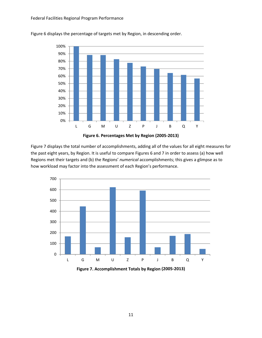

Figure 6 displays the percentage of targets met by Region, in descending order.



Figure 7 displays the total number of accomplishments, adding all of the values for all eight measures for the past eight years, by Region. It is useful to compare Figures 6 and 7 in order to assess (a) how well Regions met their targets and (b) the Regions' *numerical* accomplishments; this gives a glimpse as to how workload may factor into the assessment of each Region's performance.



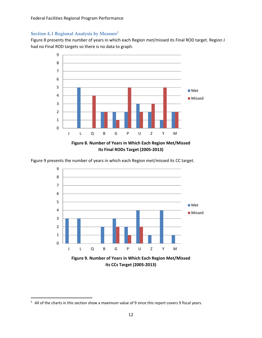Federal Facilities Regional Program Performance

#### Section 4.1 Regional Analysis by Measure<sup>2</sup>

Figure 8 presents the number of years in which each Region met/missed its Final ROD target. Region J had no Final ROD targets so there is no data to graph.



Figure 9 presents the number of years in which each Region met/missed its CC target.



**Its CCs Target (2005‐2013)**

<sup>&</sup>lt;sup>2</sup> All of the charts in this section show a maximum value of 9 since this report covers 9 fiscal years.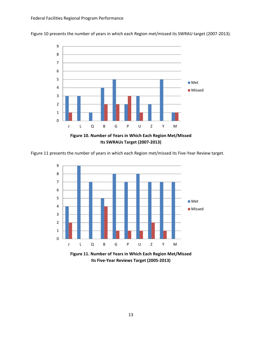Figure 10 presents the number of years in which each Region met/missed its SWRAU target (2007‐2013).



Figure 11 presents the number of years in which each Region met/missed its Five‐Year Review target.



**Figure 11. Number of Years in Which Each Region Met/Missed Its Five‐Year Reviews Target (2005‐2013)**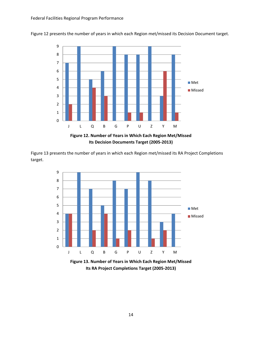

Figure 12 presents the number of years in which each Region met/missed its Decision Document target.



Figure 13 presents the number of years in which each Region met/missed its RA Project Completions target.



**Figure 13. Number of Years in Which Each Region Met/Missed Its RA Project Completions Target (2005‐2013)**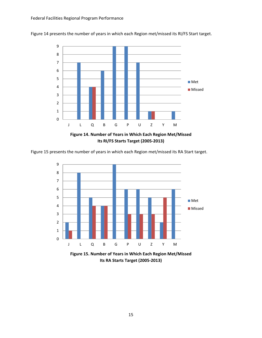

Figure 14 presents the number of years in which each Region met/missed its RI/FS Start target.

Figure 15 presents the number of years in which each Region met/missed its RA Start target.



**Figure 15. Number of Years in Which Each Region Met/Missed Its RA Starts Target (2005‐2013)**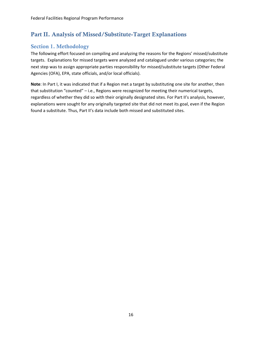# Part II. Analysis of Missed/Substitute-Target Explanations

# Section 1. Methodology

The following effort focused on compiling and analyzing the reasons for the Regions' missed/substitute targets. Explanations for missed targets were analyzed and catalogued under various categories; the next step was to assign appropriate parties responsibility for missed/substitute targets (Other Federal Agencies (OFA), EPA, state officials, and/or local officials).

**Note**: In Part I, it was indicated that if a Region met a target by substituting one site for another, then that substitution "counted" – i.e., Regions were recognized for meeting their numerical targets, regardless of whether they did so with their originally designated sites. For Part II's analysis, however, explanations were sought for any originally targeted site that did not meet its goal, even if the Region found a substitute. Thus, Part II's data include both missed and substituted sites.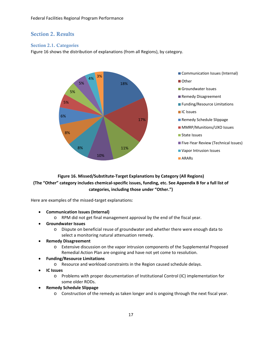## Section 2. Results

#### Section 2.1. Categories

Figure 16 shows the distribution of explanations (from all Regions), by category.



**Figure 16. Missed/Substitute‐Target Explanations by Category (All Regions)** (The "Other" category includes chemical-specific issues, funding, etc. See Appendix B for a full list of **categories, including those under "Other.")**

Here are examples of the missed-target explanations:

- **Communication Issues (Internal)**
	- o RPM did not get final management approval by the end of the fiscal year.
- **Groundwater Issues**
	- o Dispute on beneficial reuse of groundwater and whether there were enough data to select a monitoring natural attenuation remedy.

#### **Remedy Disagreement**

- o Extensive discussion on the vapor intrusion components of the Supplemental Proposed Remedial Action Plan are ongoing and have not yet come to resolution.
- **Funding/Resource Limitations**
	- o Resource and workload constraints in the Region caused schedule delays.
- **IC Issues**
	- o Problems with proper documentation of Institutional Control (IC) implementation for some older RODs.
- **Remedy Schedule Slippage**
	- o Construction of the remedy as taken longer and is ongoing through the next fiscal year.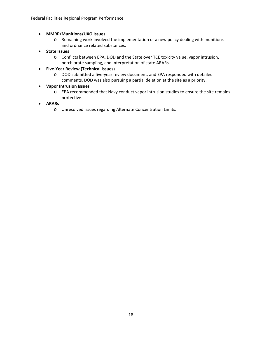#### **MMRP/Munitions/UXO Issues**

- o Remaining work involved the implementation of a new policy dealing with munitions and ordnance related substances.
- **State Issues**
	- o Conflicts between EPA, DOD and the State over TCE toxicity value, vapor intrusion, perchlorate sampling, and interpretation of state ARARs.
- **Five‐Year Review (Technical Issues)**
	- o DOD submitted a five‐year review document, and EPA responded with detailed comments. DOD was also pursuing a partial deletion at the site as a priority.

#### **Vapor Intrusion Issues**

- o EPA recommended that Navy conduct vapor intrusion studies to ensure the site remains protective.
- **ARARs**
	- o Unresolved issues regarding Alternate Concentration Limits.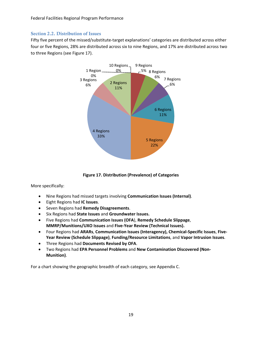#### Section 2.2. Distribution of Issues

Fifty five percent of the missed/substitute-target explanations' categories are distributed across either four or five Regions, 28% are distributed across six to nine Regions, and 17% are distributed across two to three Regions (see Figure 17).



**Figure 17. Distribution (Prevalence) of Categories**

More specifically:

- Nine Regions had missed targets involving **Communication Issues (Internal)**.
- Eight Regions had **IC Issues**.
- Seven Regions had **Remedy Disagreements**.
- Six Regions had **State Issues** and **Groundwater Issues.**
- Five Regions had **Communication Issues (OFA**), **Remedy Schedule Slippage**, **MMRP/Munitions/UXO Issues** and **Five‐Year Review (Technical Issues).**
- Four Regions had **ARARs**, **Communication Issues (Interagency), Chemical‐Specific Issues**, **Five‐ Year Review (Schedule Slippage)**, **Funding/Resource Limitations**, and **Vapor Intrusion Issues**.
- Three Regions had **Documents Revised by OFA**.
- Two Regions had **EPA Personnel Problems** and **New Contamination Discovered (Non‐ Munition)**.

For a chart showing the geographic breadth of each category, see Appendix C.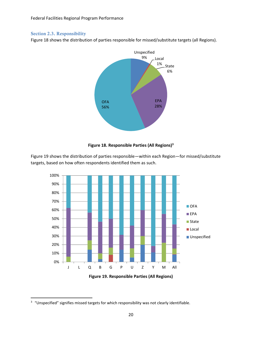#### Section 2.3. Responsibility

Figure 18 shows the distribution of parties responsible for missed/substitute targets (all Regions).



#### **Figure 18. Responsible Parties (All Regions)3**

Figure 19 shows the distribution of parties responsible—within each Region—for missed/substitute targets, based on how often respondents identified them as such.





<sup>&</sup>lt;sup>3</sup> "Unspecified" signifies missed targets for which responsibility was not clearly identifiable.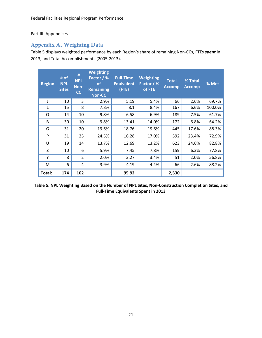#### Part III. Appendices

# Appendix A. Weighting Data

Table 5 displays weighted performance by each Region's share of remaining Non‐CCs, FTEs *spent* in 2013, and Total Accomplishments (2005‐2013).

| <b>Region</b> | # of<br><b>NPL</b><br><b>Sites</b> | #<br><b>NPL</b><br>Non-<br>cc | <b>Weighting</b><br>Factor / %<br><b>of</b><br><b>Remaining</b><br><b>Non-CC</b> | <b>Full-Time</b><br><b>Equivalent</b><br>(FTE) | <b>Weighting</b><br>Factor / %<br>of FTE | <b>Total</b><br><b>Accomp</b> | % Total<br><b>Accomp</b> | % Met  |
|---------------|------------------------------------|-------------------------------|----------------------------------------------------------------------------------|------------------------------------------------|------------------------------------------|-------------------------------|--------------------------|--------|
| J             | 10                                 | 3                             | 2.9%                                                                             | 5.19                                           | 5.4%                                     | 66                            | 2.6%                     | 69.7%  |
|               | 15                                 | 8                             | 7.8%                                                                             | 8.1                                            | 8.4%                                     | 167                           | 6.6%                     | 100.0% |
| Q             | 14                                 | 10                            | 9.8%                                                                             | 6.58                                           | 6.9%                                     | 189                           | 7.5%                     | 61.7%  |
| B             | 30                                 | 10                            | 9.8%                                                                             | 13.41                                          | 14.0%                                    | 172                           | 6.8%                     | 64.2%  |
| G             | 31                                 | 20                            | 19.6%                                                                            | 18.76                                          | 19.6%                                    | 445                           | 17.6%                    | 88.3%  |
| P             | 31                                 | 25                            | 24.5%                                                                            | 16.28                                          | 17.0%                                    | 592                           | 23.4%                    | 72.9%  |
| U             | 19                                 | 14                            | 13.7%                                                                            | 12.69                                          | 13.2%                                    | 623                           | 24.6%                    | 82.8%  |
| Z             | 10                                 | 6                             | 5.9%                                                                             | 7.45                                           | 7.8%                                     | 159                           | 6.3%                     | 77.8%  |
| Υ             | 8                                  | $\overline{2}$                | 2.0%                                                                             | 3.27                                           | 3.4%                                     | 51                            | 2.0%                     | 56.8%  |
| M             | 6                                  | 4                             | 3.9%                                                                             | 4.19                                           | 4.4%                                     | 66                            | 2.6%                     | 88.2%  |
| Total:        | 174                                | 102                           |                                                                                  | 95.92                                          |                                          | 2,530                         |                          |        |

**Table 5. NPL Weighting Based on the Number of NPL Sites, Non‐Construction Completion Sites, and Full‐Time Equivalents Spent in 2013**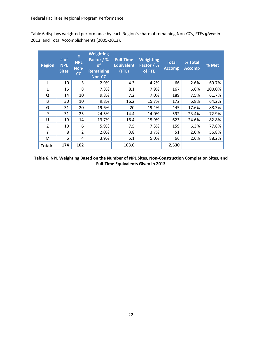Table 6 displays weighted performance by each Region's share of remaining Non‐CCs, FTEs *given* in 2013, and Total Accomplishments (2005‐2013).

| <b>Region</b> | # of<br><b>NPL</b><br><b>Sites</b> | #<br><b>NPL</b><br>Non-<br>cc | <b>Weighting</b><br>Factor / %<br><b>of</b><br><b>Remaining</b><br><b>Non-CC</b> | <b>Full-Time</b><br><b>Equivalent</b><br>$($ FTE $)$ | <b>Weighting</b><br>Factor / %<br>of FTE | <b>Total</b><br><b>Accomp</b> | % Total<br><b>Accomp</b> | % Met  |
|---------------|------------------------------------|-------------------------------|----------------------------------------------------------------------------------|------------------------------------------------------|------------------------------------------|-------------------------------|--------------------------|--------|
|               | 10                                 | 3                             | 2.9%                                                                             | 4.3                                                  | 4.2%                                     | 66                            | 2.6%                     | 69.7%  |
|               | 15                                 | 8                             | 7.8%                                                                             | 8.1                                                  | 7.9%                                     | 167                           | 6.6%                     | 100.0% |
| Q             | 14                                 | 10                            | 9.8%                                                                             | 7.2                                                  | 7.0%                                     | 189                           | 7.5%                     | 61.7%  |
| B             | 30                                 | 10                            | 9.8%                                                                             | 16.2                                                 | 15.7%                                    | 172                           | 6.8%                     | 64.2%  |
| G             | 31                                 | 20                            | 19.6%                                                                            | 20                                                   | 19.4%                                    | 445                           | 17.6%                    | 88.3%  |
| P             | 31                                 | 25                            | 24.5%                                                                            | 14.4                                                 | 14.0%                                    | 592                           | 23.4%                    | 72.9%  |
| U             | 19                                 | 14                            | 13.7%                                                                            | 16.4                                                 | 15.9%                                    | 623                           | 24.6%                    | 82.8%  |
| Z             | 10                                 | 6                             | 5.9%                                                                             | 7.5                                                  | 7.3%                                     | 159                           | 6.3%                     | 77.8%  |
| Y             | 8                                  | $\overline{2}$                | 2.0%                                                                             | 3.8                                                  | 3.7%                                     | 51                            | 2.0%                     | 56.8%  |
| М             | 6                                  | 4                             | 3.9%                                                                             | 5.1                                                  | 5.0%                                     | 66                            | 2.6%                     | 88.2%  |
| Total:        | 174                                | 102                           |                                                                                  | 103.0                                                |                                          | 2,530                         |                          |        |

**Table 6. NPL Weighting Based on the Number of NPL Sites, Non‐Construction Completion Sites, and Full‐Time Equivalents Given in 2013**